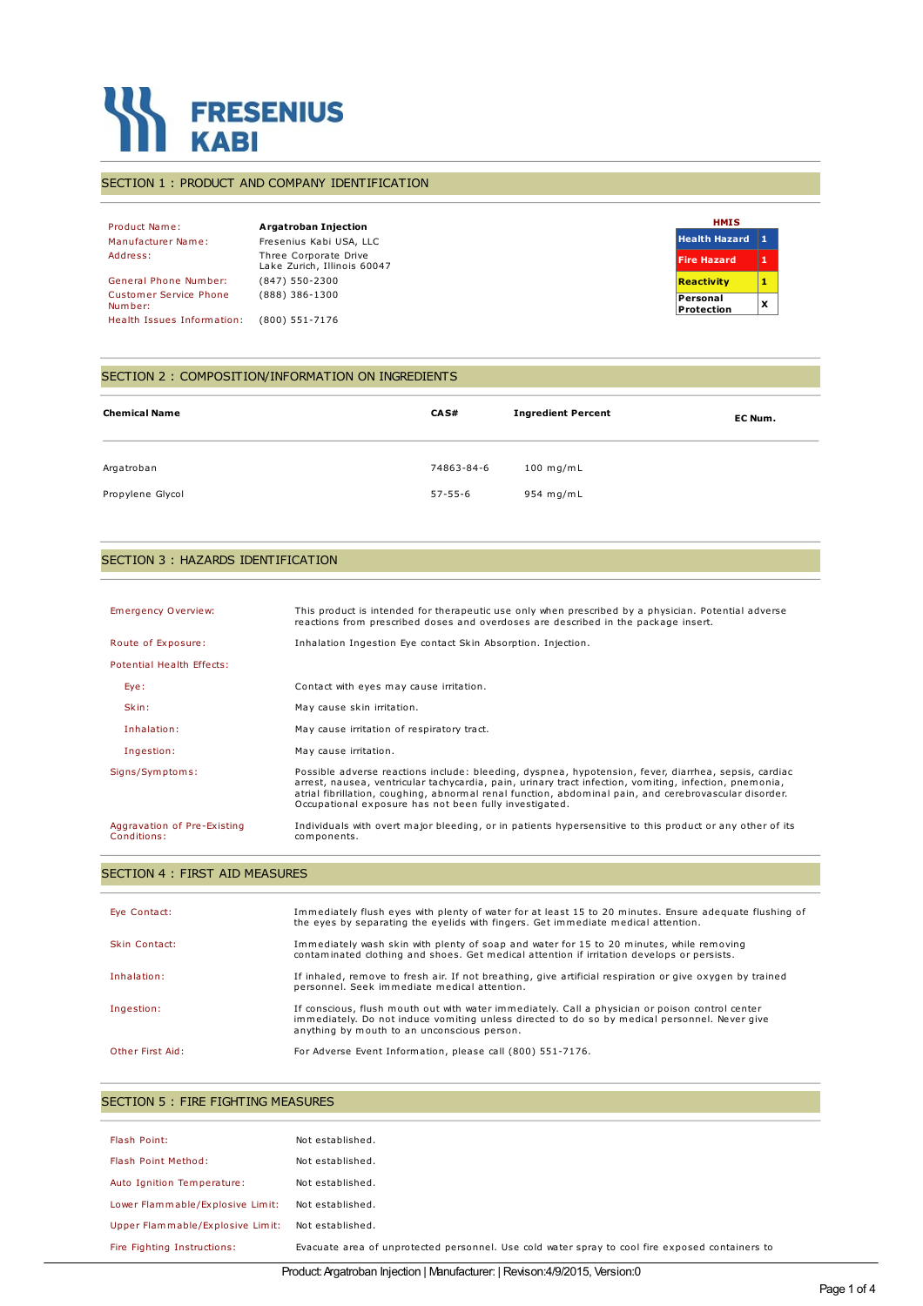

#### SECTION 1 : PRODUCT AND COMPANY IDENTIFICATION

Product Name: **Argatroban Injection** Manufacturer Name: Fresenius Kabi USA, LLC Address: Three Corporate Drive Lake Zurich, Illinois 60047 General Phone Number: (847) 550-2300 Customer Service Phone Number: (888) 386-1300 Health Issues Information: (800) 551-7176

| HMIS                   |   |
|------------------------|---|
| <b>Health Hazard</b>   | 1 |
| <b>Fire Hazard</b>     | 1 |
| <b>Reactivity</b>      | 1 |
| Personal<br>Protection | x |

#### SECTION 2 : COMPOSITION/INFORMATION ON INGREDIENTS

| <b>Chemical Name</b> | CA S#         | <b>Ingredient Percent</b> | EC Num. |
|----------------------|---------------|---------------------------|---------|
| Argatroban           | 74863-84-6    | $100$ mg/mL               |         |
| Propylene Glycol     | $57 - 55 - 6$ | 954 mg/mL                 |         |

#### SECTION 3 : HAZARDS IDENTIFICATION

| Emergency Overview:                        | This product is intended for therapeutic use only when prescribed by a physician. Potential adverse<br>reactions from prescribed doses and overdoses are described in the package insert.                                                                                                                                                                                         |
|--------------------------------------------|-----------------------------------------------------------------------------------------------------------------------------------------------------------------------------------------------------------------------------------------------------------------------------------------------------------------------------------------------------------------------------------|
| Route of Exposure:                         | Inhalation Ingestion Eye contact Skin Absorption. Injection.                                                                                                                                                                                                                                                                                                                      |
| Potential Health Effects:                  |                                                                                                                                                                                                                                                                                                                                                                                   |
| Eye:                                       | Contact with eyes may cause irritation.                                                                                                                                                                                                                                                                                                                                           |
| Skin:                                      | May cause skin irritation.                                                                                                                                                                                                                                                                                                                                                        |
| Inhalation:                                | May cause irritation of respiratory tract.                                                                                                                                                                                                                                                                                                                                        |
| Ingestion:                                 | May cause irritation.                                                                                                                                                                                                                                                                                                                                                             |
| Signs/Symptoms:                            | Possible adverse reactions include: bleeding, dyspnea, hypotension, fever, diarrhea, sepsis, cardiac<br>arrest, nausea, ventricular tachycardia, pain, urinary tract infection, vomiting, infection, pnemonia,<br>atrial fibrillation, coughing, abnormal renal function, abdominal pain, and cerebrovascular disorder.<br>Occupational exposure has not been fully investigated. |
| Aggravation of Pre-Existing<br>Conditions: | Individuals with overt major bleeding, or in patients hypersensitive to this product or any other of its<br>components.                                                                                                                                                                                                                                                           |

## SECTION 4 : FIRST AID MEASURES

| Eye Contact:     | Immediately flush eyes with plenty of water for at least 15 to 20 minutes. Ensure adequate flushing of<br>the eyes by separating the eyelids with fingers. Get immediate medical attention.                                                     |
|------------------|-------------------------------------------------------------------------------------------------------------------------------------------------------------------------------------------------------------------------------------------------|
| Skin Contact:    | Immediately wash skin with plenty of soap and water for 15 to 20 minutes, while removing<br>contaminated clothing and shoes. Get medical attention if irritation develops or persists.                                                          |
| Inhalation:      | If inhaled, remove to fresh air. If not breathing, give artificial respiration or give oxygen by trained<br>personnel. Seek immediate medical attention.                                                                                        |
| Ingestion:       | If conscious, flush mouth out with water immediately. Call a physician or poison control center<br>immediately. Do not induce vomiting unless directed to do so by medical personnel. Never give<br>anything by mouth to an unconscious person. |
| Other First Aid: | For Adverse Event Information, please call (800) 551-7176.                                                                                                                                                                                      |

| Flash Point:                     | Not established.                                                                                |
|----------------------------------|-------------------------------------------------------------------------------------------------|
| Flash Point Method:              | Not established.                                                                                |
| Auto Ignition Temperature:       | Not established.                                                                                |
| Lower Flammable/Explosive Limit: | Not established.                                                                                |
| Upper Flammable/Explosive Limit: | Not established.                                                                                |
| Fire Fighting Instructions:      | Evacuate area of unprotected personnel. Use cold water spray to cool fire exposed containers to |
|                                  |                                                                                                 |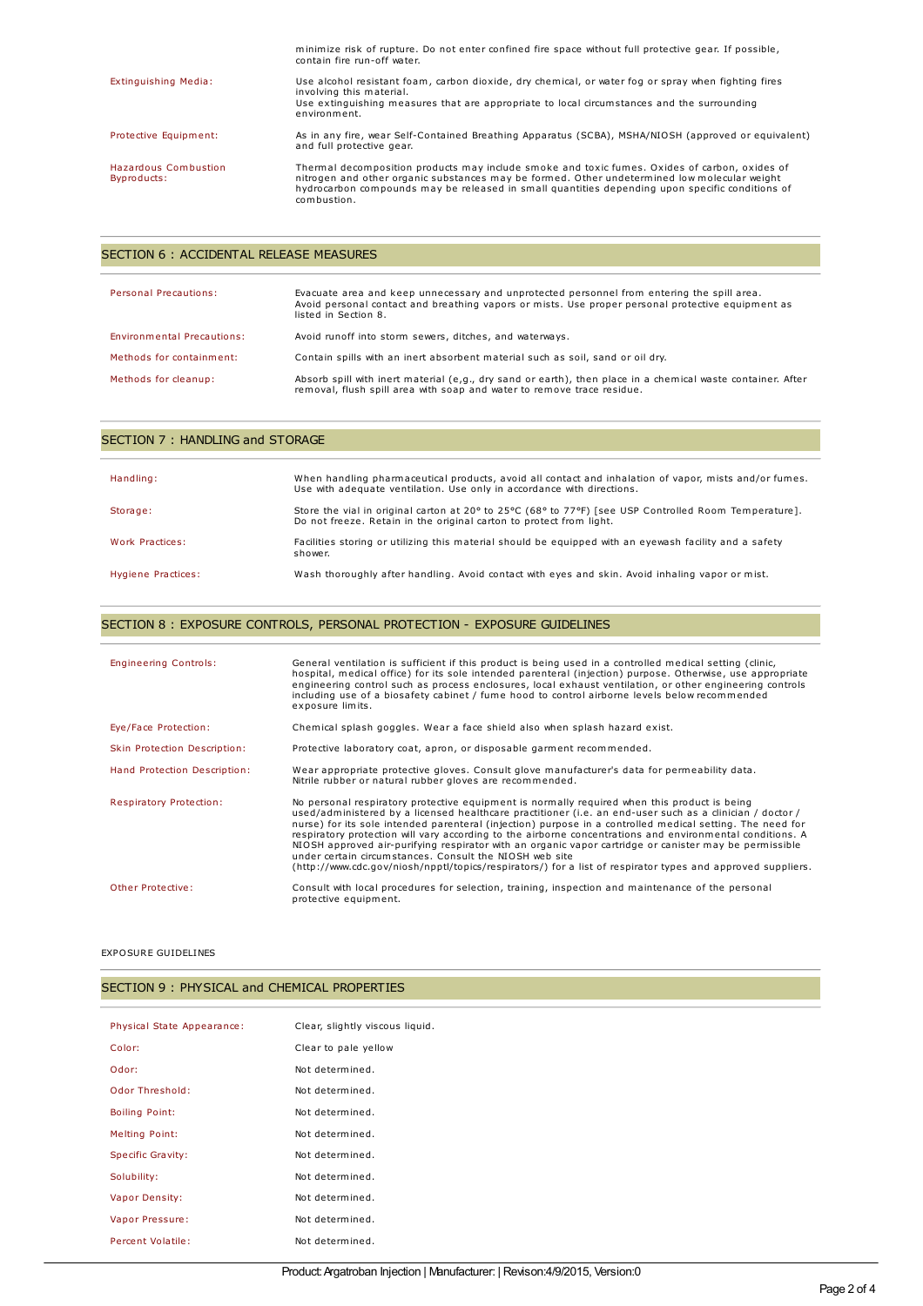|                                     | minimize risk of rupture. Do not enter confined fire space without full protective gear. If possible,<br>contain fire run-off water.                                                                                                                                                                            |
|-------------------------------------|-----------------------------------------------------------------------------------------------------------------------------------------------------------------------------------------------------------------------------------------------------------------------------------------------------------------|
| Extinguishing Media:                | Use alcohol resistant foam, carbon dioxide, dry chemical, or water fog or spray when fighting fires<br>involving this material.                                                                                                                                                                                 |
|                                     | Use extinguishing measures that are appropriate to local circumstances and the surrounding<br>environment.                                                                                                                                                                                                      |
| Protective Equipment:               | As in any fire, wear Self-Contained Breathing Apparatus (SCBA), MSHA/NIOSH (approved or equivalent)<br>and full protective gear.                                                                                                                                                                                |
| Hazardous Combustion<br>Byproducts: | Thermal decomposition products may include smoke and toxic fumes. Oxides of carbon, oxides of<br>nitrogen and other organic substances may be formed. Other undetermined low molecular weight<br>hydrocarbon compounds may be released in small quantities depending upon specific conditions of<br>combustion. |

## SECTION 6 : ACCIDENTAL RELEASE MEASURES

| <b>Personal Precautions:</b> | Evacuate area and keep unnecessary and unprotected personnel from entering the spill area.<br>Avoid personal contact and breathing vapors or mists. Use proper personal protective equipment as<br>listed in Section 8. |
|------------------------------|-------------------------------------------------------------------------------------------------------------------------------------------------------------------------------------------------------------------------|
| Environmental Precautions:   | Avoid runoff into storm sewers, ditches, and waterways.                                                                                                                                                                 |
| Methods for containment:     | Contain spills with an inert absorbent material such as soil, sand or oil dry.                                                                                                                                          |
| Methods for cleanup:         | Absorb spill with inert material (e,g., dry sand or earth), then place in a chemical waste container. After<br>removal, flush spill area with soap and water to remove trace residue.                                   |

| Handling:          | When handling pharmaceutical products, avoid all contact and inhalation of vapor, mists and/or fumes.<br>Use with adequate ventilation. Use only in accordance with directions. |
|--------------------|---------------------------------------------------------------------------------------------------------------------------------------------------------------------------------|
| Storage:           | Store the vial in original carton at 20° to 25°C (68° to 77°F) [see USP Controlled Room Temperature].<br>Do not freeze. Retain in the original carton to protect from light.    |
| Work Practices:    | Facilities storing or utilizing this material should be equipped with an eyewash facility and a safety<br>shower.                                                               |
| Hygiene Practices: | Wash thoroughly after handling. Avoid contact with eyes and skin. Avoid inhaling vapor or mist.                                                                                 |

## SECTION 8 : EXPOSURE CONTROLS, PERSONAL PROTECTION - EXPOSURE GUIDELINES

| <b>Engineering Controls:</b>   | General ventilation is sufficient if this product is being used in a controlled medical setting (clinic,<br>hospital, medical office) for its sole intended parenteral (injection) purpose. Otherwise, use appropriate<br>engineering control such as process enclosures, local exhaust ventilation, or other engineering controls<br>including use of a biosafety cabinet / fume hood to control airborne levels below recommended<br>exposure limits.                                                                                                                                                                                                                                                                |
|--------------------------------|------------------------------------------------------------------------------------------------------------------------------------------------------------------------------------------------------------------------------------------------------------------------------------------------------------------------------------------------------------------------------------------------------------------------------------------------------------------------------------------------------------------------------------------------------------------------------------------------------------------------------------------------------------------------------------------------------------------------|
| Eye/Face Protection:           | Chemical splash goggles. Wear a face shield also when splash hazard exist.                                                                                                                                                                                                                                                                                                                                                                                                                                                                                                                                                                                                                                             |
| Skin Protection Description:   | Protective laboratory coat, apron, or disposable garment recommended.                                                                                                                                                                                                                                                                                                                                                                                                                                                                                                                                                                                                                                                  |
| Hand Protection Description:   | Wear appropriate protective gloves. Consult glove manufacturer's data for permeability data.<br>Nitrile rubber or natural rubber gloves are recommended.                                                                                                                                                                                                                                                                                                                                                                                                                                                                                                                                                               |
| <b>Respiratory Protection:</b> | No personal respiratory protective equipment is normally required when this product is being<br>used/administered by a licensed healthcare practitioner (i.e. an end-user such as a clinician / doctor /<br>nurse) for its sole intended parenteral (injection) purpose in a controlled medical setting. The need for<br>respiratory protection will vary according to the airborne concentrations and environmental conditions. A<br>NIOSH approved air-purifying respirator with an organic vapor cartridge or canister may be permissible<br>under certain circumstances. Consult the NIOSH web site<br>(http://www.cdc.gov/niosh/npptl/topics/respirators/) for a list of respirator types and approved suppliers. |
| Other Protective:              | Consult with local procedures for selection, training, inspection and maintenance of the personal<br>protective equipment.                                                                                                                                                                                                                                                                                                                                                                                                                                                                                                                                                                                             |

#### EXPOSURE GUIDELINES

| SECTION 9: PHYSICAL and CHEMICAL PROPERTIES |  |
|---------------------------------------------|--|
|                                             |  |

| Physical State Appearance: | Clear, slightly viscous liquid. |
|----------------------------|---------------------------------|
| Color:                     | Clear to pale yellow            |
| Odor:                      | Not determined.                 |
| Odor Threshold:            | Not determined.                 |
| <b>Boiling Point:</b>      | Not determined.                 |
| <b>Melting Point:</b>      | Not determined.                 |
| Specific Gravity:          | Not determined.                 |
| Solubility:                | Not determined.                 |
| Vapor Density:             | Not determined.                 |
| Vapor Pressure:            | Not determined.                 |
| Percent Volatile:          | Not determined.                 |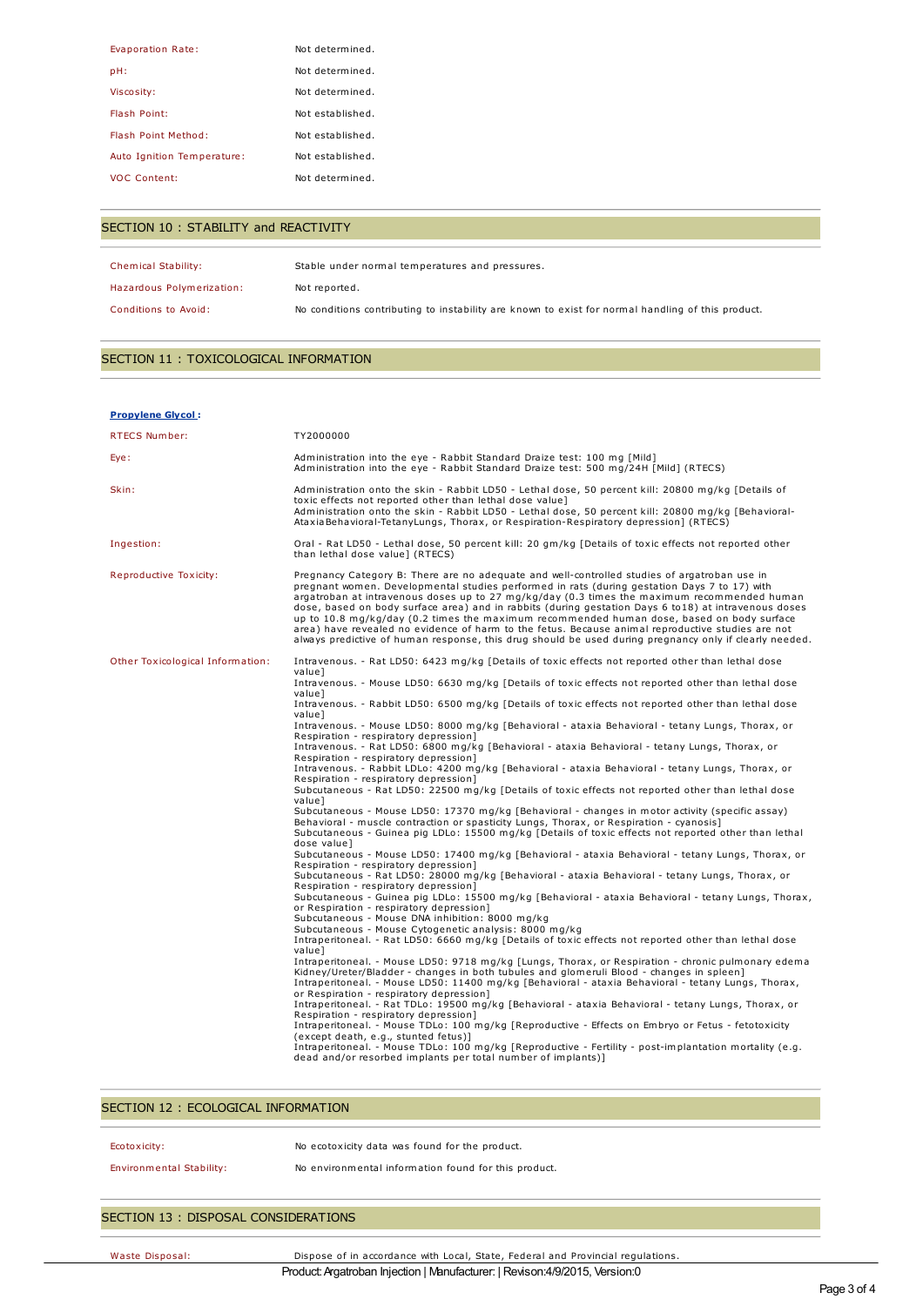| Evaporation Rate:          | Not determined.  |
|----------------------------|------------------|
| pH:                        | Not determined.  |
| Viscosity:                 | Not determined.  |
| Flash Point:               | Not established. |
| Flash Point Method:        | Not established. |
| Auto Ignition Temperature: | Not established. |
| <b>VOC Content:</b>        | Not determined.  |

## SECTION 10 : STABILITY and REACTIVITY

| Chemical Stability:       | Stable under normal temperatures and pressures.                                                   |
|---------------------------|---------------------------------------------------------------------------------------------------|
| Hazardous Polymerization: | Not reported.                                                                                     |
| Conditions to Avoid:      | No conditions contributing to instability are known to exist for normal handling of this product. |

## SECTION 11 : TOXICOLOGICAL INFORMATION

| <b>Propylene Glycol:</b>         |                                                                                                                                                                                                                                                                                                                                                                                                                                                                                                                                                                                                                                                                                                                                                                                                                                                                                                                                                                                                                                                                                                                                                                                                                                                                                                                                                                                                                                                                                                                                                                                                                                                                                                                                                                                                                                                                                                                                                                                                                                                                                                                                                                                                                                                                                                                                                                                                                                                                                                                                                                                                                                                                   |
|----------------------------------|-------------------------------------------------------------------------------------------------------------------------------------------------------------------------------------------------------------------------------------------------------------------------------------------------------------------------------------------------------------------------------------------------------------------------------------------------------------------------------------------------------------------------------------------------------------------------------------------------------------------------------------------------------------------------------------------------------------------------------------------------------------------------------------------------------------------------------------------------------------------------------------------------------------------------------------------------------------------------------------------------------------------------------------------------------------------------------------------------------------------------------------------------------------------------------------------------------------------------------------------------------------------------------------------------------------------------------------------------------------------------------------------------------------------------------------------------------------------------------------------------------------------------------------------------------------------------------------------------------------------------------------------------------------------------------------------------------------------------------------------------------------------------------------------------------------------------------------------------------------------------------------------------------------------------------------------------------------------------------------------------------------------------------------------------------------------------------------------------------------------------------------------------------------------------------------------------------------------------------------------------------------------------------------------------------------------------------------------------------------------------------------------------------------------------------------------------------------------------------------------------------------------------------------------------------------------------------------------------------------------------------------------------------------------|
| RTECS Number:                    | TY2000000                                                                                                                                                                                                                                                                                                                                                                                                                                                                                                                                                                                                                                                                                                                                                                                                                                                                                                                                                                                                                                                                                                                                                                                                                                                                                                                                                                                                                                                                                                                                                                                                                                                                                                                                                                                                                                                                                                                                                                                                                                                                                                                                                                                                                                                                                                                                                                                                                                                                                                                                                                                                                                                         |
| Eye:                             | Administration into the eye - Rabbit Standard Draize test: 100 mg [Mild]<br>Administration into the eye - Rabbit Standard Draize test: 500 mg/24H [Mild] (RTECS)                                                                                                                                                                                                                                                                                                                                                                                                                                                                                                                                                                                                                                                                                                                                                                                                                                                                                                                                                                                                                                                                                                                                                                                                                                                                                                                                                                                                                                                                                                                                                                                                                                                                                                                                                                                                                                                                                                                                                                                                                                                                                                                                                                                                                                                                                                                                                                                                                                                                                                  |
| Skin:                            | Administration onto the skin - Rabbit LD50 - Lethal dose, 50 percent kill: 20800 mg/kg [Details of<br>toxic effects not reported other than lethal dose value]<br>Administration onto the skin - Rabbit LD50 - Lethal dose, 50 percent kill: 20800 mg/kg [Behavioral-<br>AtaxiaBehavioral-TetanyLungs, Thorax, or Respiration-Respiratory depression] (RTECS)                                                                                                                                                                                                                                                                                                                                                                                                                                                                                                                                                                                                                                                                                                                                                                                                                                                                                                                                                                                                                                                                                                                                                                                                                                                                                                                                                                                                                                                                                                                                                                                                                                                                                                                                                                                                                                                                                                                                                                                                                                                                                                                                                                                                                                                                                                     |
| Ingestion:                       | Oral - Rat LD50 - Lethal dose, 50 percent kill: 20 gm/kg [Details of toxic effects not reported other<br>than lethal dose value] (RTECS)                                                                                                                                                                                                                                                                                                                                                                                                                                                                                                                                                                                                                                                                                                                                                                                                                                                                                                                                                                                                                                                                                                                                                                                                                                                                                                                                                                                                                                                                                                                                                                                                                                                                                                                                                                                                                                                                                                                                                                                                                                                                                                                                                                                                                                                                                                                                                                                                                                                                                                                          |
| Reproductive Toxicity:           | Pregnancy Category B: There are no adequate and well-controlled studies of argatroban use in<br>pregnant women. Developmental studies performed in rats (during gestation Days 7 to 17) with<br>argatroban at intravenous doses up to 27 mg/kg/day (0.3 times the maximum recommended human<br>dose, based on body surface area) and in rabbits (during gestation Days 6 to18) at intravenous doses<br>up to 10.8 mg/kg/day (0.2 times the maximum recommended human dose, based on body surface<br>area) have revealed no evidence of harm to the fetus. Because animal reproductive studies are not<br>always predictive of human response, this drug should be used during pregnancy only if clearly needed.                                                                                                                                                                                                                                                                                                                                                                                                                                                                                                                                                                                                                                                                                                                                                                                                                                                                                                                                                                                                                                                                                                                                                                                                                                                                                                                                                                                                                                                                                                                                                                                                                                                                                                                                                                                                                                                                                                                                                   |
| Other Toxicological Information: | Intravenous. - Rat LD50: 6423 mg/kg [Details of toxic effects not reported other than lethal dose<br>valuel<br>Intravenous. - Mouse LD50: 6630 mg/kg [Details of toxic effects not reported other than lethal dose<br>value]<br>Intravenous. - Rabbit LD50: 6500 mg/kg [Details of toxic effects not reported other than lethal dose<br>value]<br>Intravenous. - Mouse LD50: 8000 mg/kg [Behavioral - ataxia Behavioral - tetany Lungs, Thorax, or<br>Respiration - respiratory depression]<br>Intravenous. - Rat LD50: 6800 mg/kg [Behavioral - ataxia Behavioral - tetany Lungs, Thorax, or<br>Respiration - respiratory depression]<br>Intravenous. - Rabbit LDLo: 4200 mg/kg [Behavioral - ataxia Behavioral - tetany Lungs, Thorax, or<br>Respiration - respiratory depression]<br>Subcutaneous - Rat LD50: 22500 mg/kg [Details of toxic effects not reported other than lethal dose<br>valuel<br>Subcutaneous - Mouse LD50: 17370 mg/kg [Behavioral - changes in motor activity (specific assay)<br>Behavioral - muscle contraction or spasticity Lungs, Thorax, or Respiration - cyanosis]<br>Subcutaneous - Guinea pig LDLo: 15500 mg/kg [Details of toxic effects not reported other than lethal<br>dose valuel<br>Subcutaneous - Mouse LD50: 17400 mg/kg [Behavioral - ataxia Behavioral - tetany Lungs, Thorax, or<br>Respiration - respiratory depression]<br>Subcutaneous - Rat LD50: 28000 mg/kg [Behavioral - ataxia Behavioral - tetany Lungs, Thorax, or<br>Respiration - respiratory depression]<br>Subcutaneous - Guinea pig LDLo: 15500 mg/kg [Behavioral - ataxia Behavioral - tetany Lungs, Thorax,<br>or Respiration - respiratory depression]<br>Subcutaneous - Mouse DNA inhibition: 8000 mg/kg<br>Subcutaneous - Mouse Cytogenetic analysis: 8000 mg/kg<br>Intraperitoneal. - Rat LD50: 6660 mg/kg [Details of toxic effects not reported other than lethal dose<br>valuel<br>Intraperitoneal. - Mouse LD50: 9718 mg/kg [Lungs, Thorax, or Respiration - chronic pulmonary edema<br>Kidney/Ureter/Bladder - changes in both tubules and glomeruli Blood - changes in spleen]<br>Intraperitoneal. - Mouse LD50: 11400 mg/kg [Behavioral - ataxia Behavioral - tetany Lungs, Thorax,<br>or Respiration - respiratory depression]<br>Intraperitoneal. - Rat TDLo: 19500 mg/kg [Behavioral - ataxia Behavioral - tetany Lungs, Thorax, or<br>Respiration - respiratory depression]<br>Intraperitoneal. - Mouse TDLo: 100 mg/kg [Reproductive - Effects on Embryo or Fetus - fetotoxicity<br>(except death, e.g., stunted fetus)]<br>Intraperitoneal. - Mouse TDLo: 100 mg/kg [Reproductive - Fertility - post-implantation mortality (e.g. |

#### SECTION 12 : ECOLOGICAL INFORMATION

| Ecotoxicity:             | No ecotoxicity data was found for the product.       |
|--------------------------|------------------------------------------------------|
| Environmental Stability: | No environmental information found for this product. |
|                          |                                                      |

## SECTION 13 : DISPOSAL CONSIDERATIONS

Waste Disposal: Dispose of in accordance with Local, State, Federal and Provincial regulations. Product:Argatroban Injection | Manufacturer: | Revison:4/9/2015, Version:0